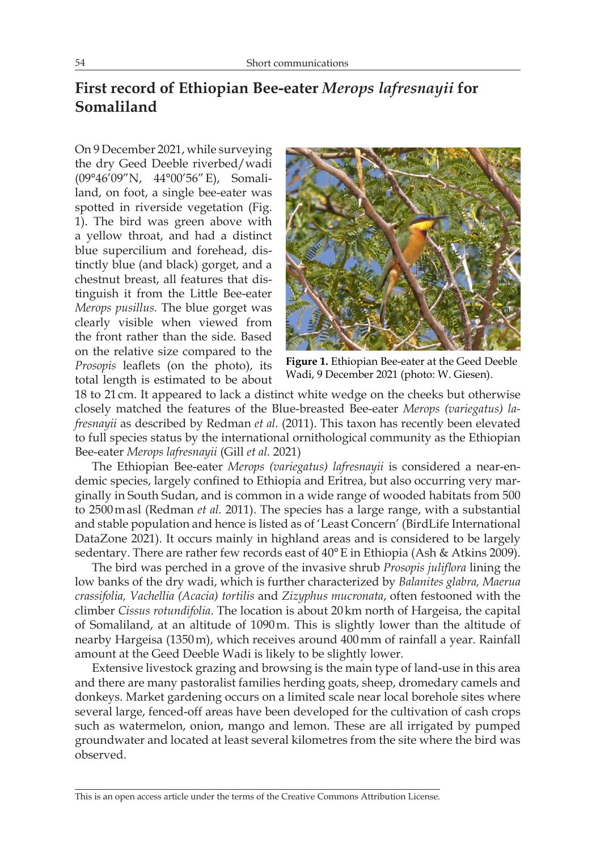## **First record of Ethiopian Bee-eater** *Merops lafresnayii* **for Somaliland**

On 9 December 2021, while surveying the dry Geed Deeble riverbed/wadi (09°46'09"N, 44°00'56"E), Somaliland, on foot, a single bee-eater was spotted in riverside vegetation (Fig. 1). The bird was green above with a yellow throat, and had a distinct blue supercilium and forehead, distinctly blue (and black) gorget, and a chestnut breast, all features that distinguish it from the Little Bee-eater *Merops pusillus.* The blue gorget was clearly visible when viewed from the front rather than the side. Based on the relative size compared to the *Prosopis* leaflets (on the photo), its total length is estimated to be about



**Figure 1.** Ethiopian Bee-eater at the Geed Deeble Wadi, 9 December 2021 (photo: W. Giesen).

18 to 21 cm. It appeared to lack a distinct white wedge on the cheeks but otherwise closely matched the features of the Blue-breasted Bee-eater *Merops (variegatus) lafresnayii* as described by Redman *et al.* (2011). This taxon has recently been elevated to full species status by the international ornithological community as the Ethiopian Bee-eater *Merops lafresnayii* (Gill *et al.* 2021)

The Ethiopian Bee-eater *Merops (variegatus) lafresnayii* is considered a near-endemic species, largely confined to Ethiopia and Eritrea, but also occurring very marginally in South Sudan, and is common in a wide range of wooded habitats from 500 to 2500masl (Redman *et al.* 2011). The species has a large range, with a substantial and stable population and hence is listed as of 'Least Concern' (BirdLife International DataZone 2021). It occurs mainly in highland areas and is considered to be largely sedentary. There are rather few records east of 40°E in Ethiopia (Ash & Atkins 2009).

The bird was perched in a grove of the invasive shrub *Prosopis juliflora* lining the low banks of the dry wadi, which is further characterized by *Balanites glabra, Maerua crassifolia, Vachellia (Acacia) tortilis* and *Zizyphus mucronata*, often festooned with the climber *Cissus rotundifolia*. The location is about 20km north of Hargeisa, the capital of Somaliland, at an altitude of 1090m. This is slightly lower than the altitude of nearby Hargeisa (1350m), which receives around 400mm of rainfall a year. Rainfall amount at the Geed Deeble Wadi is likely to be slightly lower.

Extensive livestock grazing and browsing is the main type of land-use in this area and there are many pastoralist families herding goats, sheep, dromedary camels and donkeys. Market gardening occurs on a limited scale near local borehole sites where several large, fenced-off areas have been developed for the cultivation of cash crops such as watermelon, onion, mango and lemon. These are all irrigated by pumped groundwater and located at least several kilometres from the site where the bird was observed.